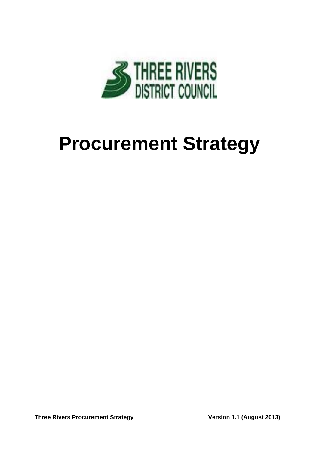

# **Procurement Strategy**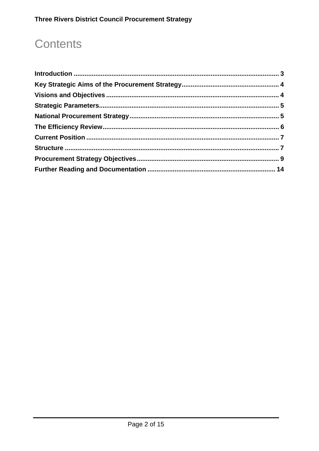# **Contents**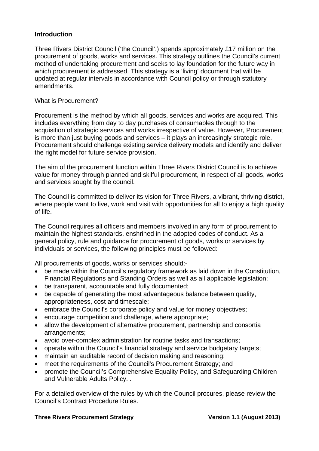#### **Introduction**

Three Rivers District Council ('the Council',) spends approximately £17 million on the procurement of goods, works and services. This strategy outlines the Council's current method of undertaking procurement and seeks to lay foundation for the future way in which procurement is addressed. This strategy is a 'living' document that will be updated at regular intervals in accordance with Council policy or through statutory amendments.

#### What is Procurement?

Procurement is the method by which all goods, services and works are acquired. This includes everything from day to day purchases of consumables through to the acquisition of strategic services and works irrespective of value. However, Procurement is more than just buying goods and services – it plays an increasingly strategic role. Procurement should challenge existing service delivery models and identify and deliver the right model for future service provision.

The aim of the procurement function within Three Rivers District Council is to achieve value for money through planned and skilful procurement, in respect of all goods, works and services sought by the council.

The Council is committed to deliver its vision for Three Rivers, a vibrant, thriving district, where people want to live, work and visit with opportunities for all to enjoy a high quality of life.

The Council requires all officers and members involved in any form of procurement to maintain the highest standards, enshrined in the adopted codes of conduct. As a general policy, rule and guidance for procurement of goods, works or services by individuals or services, the following principles must be followed:

All procurements of goods, works or services should:-

- be made within the Council's regulatory framework as laid down in the Constitution, Financial Regulations and Standing Orders as well as all applicable legislation;
- be transparent, accountable and fully documented;
- be capable of generating the most advantageous balance between quality, appropriateness, cost and timescale;
- embrace the Council's corporate policy and value for money objectives;
- encourage competition and challenge, where appropriate;
- allow the development of alternative procurement, partnership and consortia arrangements;
- avoid over-complex administration for routine tasks and transactions;
- operate within the Council's financial strategy and service budgetary targets;
- maintain an auditable record of decision making and reasoning;
- meet the requirements of the Council's Procurement Strategy: and
- promote the Council's Comprehensive Equality Policy, and Safeguarding Children and Vulnerable Adults Policy. .

For a detailed overview of the rules by which the Council procures, please review the Council's Contract Procedure Rules.

#### **Three Rivers Procurement Strategy Constrained Strategy Constrained Version 1.1 (August 2013)**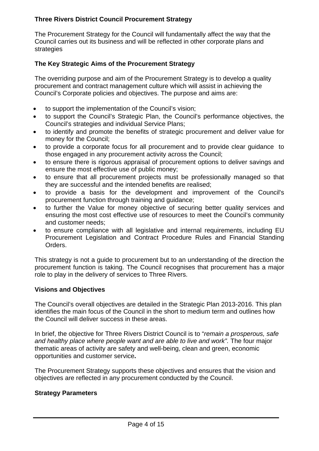The Procurement Strategy for the Council will fundamentally affect the way that the Council carries out its business and will be reflected in other corporate plans and strategies

# **The Key Strategic Aims of the Procurement Strategy**

The overriding purpose and aim of the Procurement Strategy is to develop a quality procurement and contract management culture which will assist in achieving the Council's Corporate policies and objectives. The purpose and aims are:

- to support the implementation of the Council's vision;
- to support the Council's Strategic Plan, the Council's performance objectives, the Council's strategies and individual Service Plans;
- to identify and promote the benefits of strategic procurement and deliver value for money for the Council;
- to provide a corporate focus for all procurement and to provide clear guidance to those engaged in any procurement activity across the Council;
- to ensure there is rigorous appraisal of procurement options to deliver savings and ensure the most effective use of public money;
- to ensure that all procurement projects must be professionally managed so that they are successful and the intended benefits are realised;
- to provide a basis for the development and improvement of the Council's procurement function through training and guidance;
- to further the Value for money objective of securing better quality services and ensuring the most cost effective use of resources to meet the Council's community and customer needs;
- to ensure compliance with all legislative and internal requirements, including EU Procurement Legislation and Contract Procedure Rules and Financial Standing Orders.

This strategy is not a guide to procurement but to an understanding of the direction the procurement function is taking. The Council recognises that procurement has a major role to play in the delivery of services to Three Rivers.

#### **Visions and Objectives**

The Council's overall objectives are detailed in the Strategic Plan 2013-2016. This plan identifies the main focus of the Council in the short to medium term and outlines how the Council will deliver success in these areas.

In brief, the objective for Three Rivers District Council is to "*remain a prosperous, safe*  and healthy place where people want and are able to live and work". The four major thematic areas of activity are safety and well-being, clean and green, economic opportunities and customer service**.**

The Procurement Strategy supports these objectives and ensures that the vision and objectives are reflected in any procurement conducted by the Council.

#### **Strategy Parameters**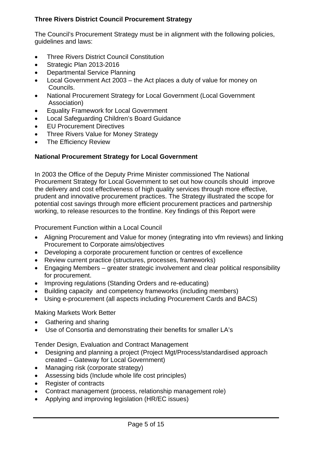The Council's Procurement Strategy must be in alignment with the following policies, guidelines and laws:

- Three Rivers District Council Constitution
- Strategic Plan 2013-2016
- Departmental Service Planning
- Local Government Act 2003 the Act places a duty of value for money on Councils.
- National Procurement Strategy for Local Government (Local Government Association)
- Equality Framework for Local Government
- Local Safeguarding Children's Board Guidance
- **EU Procurement Directives**
- Three Rivers Value for Money Strategy
- The Efficiency Review

# **National Procurement Strategy for Local Government**

In 2003 the Office of the Deputy Prime Minister commissioned The National Procurement Strategy for Local Government to set out how councils should improve the delivery and cost effectiveness of high quality services through more effective, prudent and innovative procurement practices. The Strategy illustrated the scope for potential cost savings through more efficient procurement practices and partnership working, to release resources to the frontline. Key findings of this Report were

Procurement Function within a Local Council

- Aligning Procurement and Value for money (integrating into vfm reviews) and linking Procurement to Corporate aims/objectives
- Developing a corporate procurement function or centres of excellence
- Review current practice (structures, processes, frameworks)
- Engaging Members greater strategic involvement and clear political responsibility for procurement.
- Improving regulations (Standing Orders and re-educating)
- Building capacity and competency frameworks (including members)
- Using e-procurement (all aspects including Procurement Cards and BACS)

Making Markets Work Better

- Gathering and sharing
- Use of Consortia and demonstrating their benefits for smaller LA's

Tender Design, Evaluation and Contract Management

- Designing and planning a project (Project Mgt/Process/standardised approach created – Gateway for Local Government)
- Managing risk (corporate strategy)
- Assessing bids (Include whole life cost principles)
- Register of contracts
- Contract management (process, relationship management role)
- Applying and improving legislation (HR/EC issues)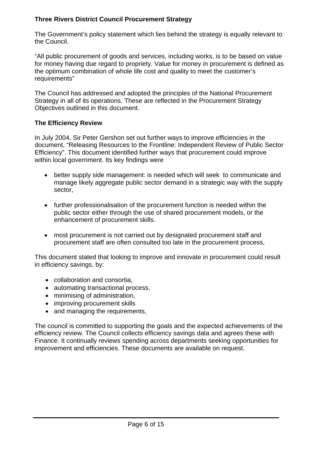The Government's policy statement which lies behind the strategy is equally relevant to the Council.

"All public procurement of goods and services, including works, is to be based on value for money having due regard to propriety. Value for money in procurement is defined as the optimum combination of whole life cost and quality to meet the customer's requirements"

The Council has addressed and adopted the principles of the National Procurement Strategy in all of its operations. These are reflected in the Procurement Strategy Objectives outlined in this document.

#### **The Efficiency Review**

In July 2004, Sir Peter Gershon set out further ways to improve efficiencies in the document, "Releasing Resources to the Frontline: Independent Review of Public Sector Efficiency". This document identified further ways that procurement could improve within local government. Its key findings were

- better supply side management: is needed which will seek to communicate and manage likely aggregate public sector demand in a strategic way with the supply sector,
- further professionalisation of the procurement function is needed within the public sector either through the use of shared procurement models, or the enhancement of procurement skills.
- most procurement is not carried out by designated procurement staff and procurement staff are often consulted too late in the procurement process,

This document stated that looking to improve and innovate in procurement could result in efficiency savings, by:

- collaboration and consortia,
- automating transactional process,
- minimising of administration,
- improving procurement skills
- and managing the requirements,

The council is committed to supporting the goals and the expected achievements of the efficiency review. The Council collects efficiency savings data and agrees these with Finance. It continually reviews spending across departments seeking opportunities for improvement and efficiencies. These documents are available on request.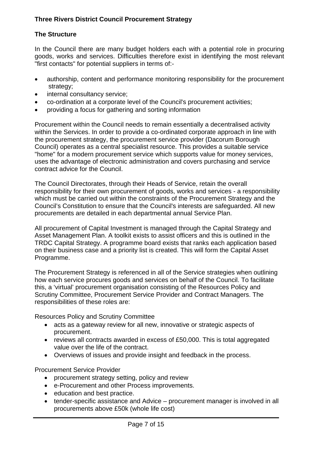# **The Structure**

In the Council there are many budget holders each with a potential role in procuring goods, works and services. Difficulties therefore exist in identifying the most relevant "first contacts" for potential suppliers in terms of:-

- authorship, content and performance monitoring responsibility for the procurement strategy;
- internal consultancy service;
- co-ordination at a corporate level of the Council's procurement activities;
- providing a focus for gathering and sorting information

Procurement within the Council needs to remain essentially a decentralised activity within the Services. In order to provide a co-ordinated corporate approach in line with the procurement strategy, the procurement service provider (Dacorum Borough Council) operates as a central specialist resource. This provides a suitable service "home" for a modern procurement service which supports value for money services, uses the advantage of electronic administration and covers purchasing and service contract advice for the Council.

The Council Directorates, through their Heads of Service, retain the overall responsibility for their own procurement of goods, works and services - a responsibility which must be carried out within the constraints of the Procurement Strategy and the Council's Constitution to ensure that the Council's interests are safeguarded. All new procurements are detailed in each departmental annual Service Plan.

All procurement of Capital Investment is managed through the Capital Strategy and Asset Management Plan. A toolkit exists to assist officers and this is outlined in the TRDC Capital Strategy. A programme board exists that ranks each application based on their business case and a priority list is created. This will form the Capital Asset Programme.

The Procurement Strategy is referenced in all of the Service strategies when outlining how each service procures goods and services on behalf of the Council. To facilitate this, a 'virtual' procurement organisation consisting of the Resources Policy and Scrutiny Committee, Procurement Service Provider and Contract Managers. The responsibilities of these roles are:

Resources Policy and Scrutiny Committee

- acts as a gateway review for all new, innovative or strategic aspects of procurement.
- reviews all contracts awarded in excess of £50,000. This is total aggregated value over the life of the contract.
- Overviews of issues and provide insight and feedback in the process.

Procurement Service Provider

- procurement strategy setting, policy and review
- e-Procurement and other Process improvements.
- education and best practice.
- tender-specific assistance and Advice procurement manager is involved in all procurements above £50k (whole life cost)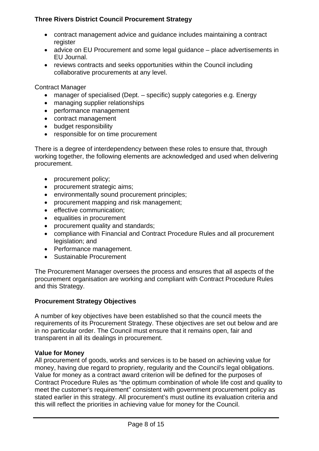- contract management advice and guidance includes maintaining a contract register
- advice on EU Procurement and some legal guidance place advertisements in EU Journal.
- reviews contracts and seeks opportunities within the Council including collaborative procurements at any level.

Contract Manager

- manager of specialised (Dept. specific) supply categories e.g. Energy
- managing supplier relationships
- performance management
- contract management
- budget responsibility
- responsible for on time procurement

There is a degree of interdependency between these roles to ensure that, through working together, the following elements are acknowledged and used when delivering procurement.

- procurement policy;
- procurement strategic aims;
- environmentally sound procurement principles;
- procurement mapping and risk management;
- effective communication;
- equalities in procurement
- procurement quality and standards;
- compliance with Financial and Contract Procedure Rules and all procurement legislation; and
- Performance management.
- Sustainable Procurement

The Procurement Manager oversees the process and ensures that all aspects of the procurement organisation are working and compliant with Contract Procedure Rules and this Strategy.

#### **Procurement Strategy Objectives**

A number of key objectives have been established so that the council meets the requirements of its Procurement Strategy. These objectives are set out below and are in no particular order. The Council must ensure that it remains open, fair and transparent in all its dealings in procurement.

#### **Value for Money**

All procurement of goods, works and services is to be based on achieving value for money, having due regard to propriety, regularity and the Council's legal obligations. Value for money as a contract award criterion will be defined for the purposes of Contract Procedure Rules as "the optimum combination of whole life cost and quality to meet the customer's requirement" consistent with government procurement policy as stated earlier in this strategy. All procurement's must outline its evaluation criteria and this will reflect the priorities in achieving value for money for the Council.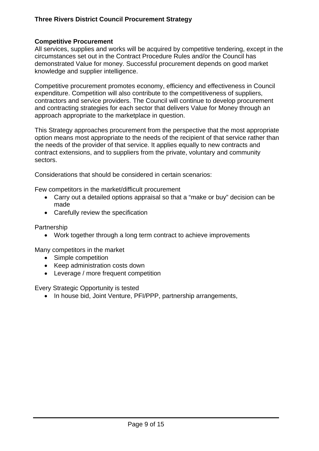# **Competitive Procurement**

All services, supplies and works will be acquired by competitive tendering, except in the circumstances set out in the Contract Procedure Rules and/or the Council has demonstrated Value for money. Successful procurement depends on good market knowledge and supplier intelligence.

Competitive procurement promotes economy, efficiency and effectiveness in Council expenditure. Competition will also contribute to the competitiveness of suppliers, contractors and service providers. The Council will continue to develop procurement and contracting strategies for each sector that delivers Value for Money through an approach appropriate to the marketplace in question.

This Strategy approaches procurement from the perspective that the most appropriate option means most appropriate to the needs of the recipient of that service rather than the needs of the provider of that service. It applies equally to new contracts and contract extensions, and to suppliers from the private, voluntary and community sectors.

Considerations that should be considered in certain scenarios:

Few competitors in the market/difficult procurement

- Carry out a detailed options appraisal so that a "make or buy" decision can be made
- Carefully review the specification

**Partnership** 

• Work together through a long term contract to achieve improvements

Many competitors in the market

- Simple competition
- Keep administration costs down
- Leverage / more frequent competition

Every Strategic Opportunity is tested

• In house bid, Joint Venture, PFI/PPP, partnership arrangements,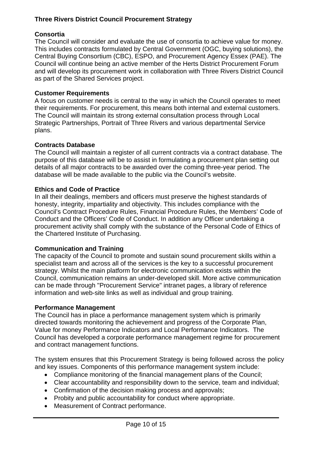# **Consortia**

The Council will consider and evaluate the use of consortia to achieve value for money. This includes contracts formulated by Central Government (OGC, buying solutions), the Central Buying Consortium (CBC), ESPO, and Procurement Agency Essex (PAE). The Council will continue being an active member of the Herts District Procurement Forum and will develop its procurement work in collaboration with Three Rivers District Council as part of the Shared Services project.

# **Customer Requirements**

A focus on customer needs is central to the way in which the Council operates to meet their requirements. For procurement, this means both internal and external customers. The Council will maintain its strong external consultation process through Local Strategic Partnerships, Portrait of Three Rivers and various departmental Service plans.

# **Contracts Database**

The Council will maintain a register of all current contracts via a contract database. The purpose of this database will be to assist in formulating a procurement plan setting out details of all major contracts to be awarded over the coming three-year period. The database will be made available to the public via the Council's website.

# **Ethics and Code of Practice**

In all their dealings, members and officers must preserve the highest standards of honesty, integrity, impartiality and objectivity. This includes compliance with the Council's Contract Procedure Rules, Financial Procedure Rules, the Members' Code of Conduct and the Officers' Code of Conduct. In addition any Officer undertaking a procurement activity shall comply with the substance of the Personal Code of Ethics of the Chartered Institute of Purchasing.

#### **Communication and Training**

The capacity of the Council to promote and sustain sound procurement skills within a specialist team and across all of the services is the key to a successful procurement strategy. Whilst the main platform for electronic communication exists within the Council, communication remains an under-developed skill. More active communication can be made through "Procurement Service" intranet pages, a library of reference information and web-site links as well as individual and group training.

#### **Performance Management**

The Council has in place a performance management system which is primarily directed towards monitoring the achievement and progress of the Corporate Plan, Value for money Performance Indicators and Local Performance Indicators. The Council has developed a corporate performance management regime for procurement and contract management functions.

The system ensures that this Procurement Strategy is being followed across the policy and key issues. Components of this performance management system include:

- Compliance monitoring of the financial management plans of the Council;
- Clear accountability and responsibility down to the service, team and individual;
- Confirmation of the decision making process and approvals;
- Probity and public accountability for conduct where appropriate.
- Measurement of Contract performance.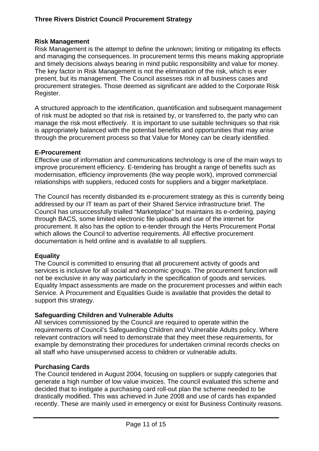# **Risk Management**

Risk Management is the attempt to define the unknown; limiting or mitigating its effects and managing the consequences. In procurement terms this means making appropriate and timely decisions always bearing in mind public responsibility and value for money. The key factor in Risk Management is not the elimination of the risk, which is ever present, but its management. The Council assesses risk in all business cases and procurement strategies. Those deemed as significant are added to the Corporate Risk Register.

A structured approach to the identification, quantification and subsequent management of risk must be adopted so that risk is retained by, or transferred to, the party who can manage the risk most effectively. It is important to use suitable techniques so that risk is appropriately balanced with the potential benefits and opportunities that may arise through the procurement process so that Value for Money can be clearly identified.

# **E-Procurement**

Effective use of information and communications technology is one of the main ways to improve procurement efficiency. E-tendering has brought a range of benefits such as modernisation, efficiency improvements (the way people work), improved commercial relationships with suppliers, reduced costs for suppliers and a bigger marketplace.

The Council has recently disbanded its e-procurement strategy as this is currently being addressed by our IT team as part of their Shared Service infrastructure brief. The Council has unsuccessfully trialled "Marketplace" but maintains its e-ordering, paying through BACS, some limited electronic file uploads and use of the internet for procurement. It also has the option to e-tender through the Herts Procurement Portal which allows the Council to advertise requirements. All effective procurement documentation is held online and is available to all suppliers.

# **Equality**

The Council is committed to ensuring that all procurement activity of goods and services is inclusive for all social and economic groups. The procurement function will not be exclusive in any way particularly in the specification of goods and services. Equality Impact assessments are made on the procurement processes and within each Service. A Procurement and Equalities Guide is available that provides the detail to support this strategy.

# **Safeguarding Children and Vulnerable Adults**

All services commissioned by the Council are required to operate within the requirements of Council's Safeguarding Children and Vulnerable Adults policy. Where relevant contractors will need to demonstrate that they meet these requirements, for example by demonstrating their procedures for undertaken criminal records checks on all staff who have unsupervised access to children or vulnerable adults.

# **Purchasing Cards**

The Council tendered in August 2004, focusing on suppliers or supply categories that generate a high number of low value invoices. The council evaluated this scheme and decided that to instigate a purchasing card roll-out plan the scheme needed to be drastically modified. This was achieved in June 2008 and use of cards has expanded recently. These are mainly used in emergency or exist for Business Continuity reasons.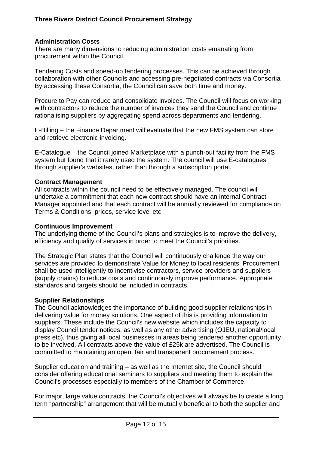### **Administration Costs**

There are many dimensions to reducing administration costs emanating from procurement within the Council.

Tendering Costs and speed-up tendering processes. This can be achieved through collaboration with other Councils and accessing pre-negotiated contracts via Consortia By accessing these Consortia, the Council can save both time and money.

Procure to Pay can reduce and consolidate invoices. The Council will focus on working with contractors to reduce the number of invoices they send the Council and continue rationalising suppliers by aggregating spend across departments and tendering.

E-Billing – the Finance Department will evaluate that the new FMS system can store and retrieve electronic invoicing.

E-Catalogue – the Council joined Marketplace with a punch-out facility from the FMS system but found that it rarely used the system. The council will use E-catalogues through supplier's websites, rather than through a subscription portal.

#### **Contract Management**

All contracts within the council need to be effectively managed. The council will undertake a commitment that each new contract should have an internal Contract Manager appointed and that each contract will be annually reviewed for compliance on Terms & Conditions, prices, service level etc.

#### **Continuous Improvement**

The underlying theme of the Council's plans and strategies is to improve the delivery, efficiency and quality of services in order to meet the Council's priorities.

The Strategic Plan states that the Council will continuously challenge the way our services are provided to demonstrate Value for Money to local residents. Procurement shall be used intelligently to incentivise contractors, service providers and suppliers (supply chains) to reduce costs and continuously improve performance. Appropriate standards and targets should be included in contracts.

#### **Supplier Relationships**

The Council acknowledges the importance of building good supplier relationships in delivering value for money solutions. One aspect of this is providing information to suppliers. These include the Council's new website which includes the capacity to display Council tender notices, as well as any other advertising (OJEU, national/local press etc), thus giving all local businesses in areas being tendered another opportunity to be involved. All contracts above the value of £25k are advertised. The Council is committed to maintaining an open, fair and transparent procurement process.

Supplier education and training – as well as the Internet site, the Council should consider offering educational seminars to suppliers and meeting them to explain the Council's processes especially to members of the Chamber of Commerce.

For major, large value contracts, the Council's objectives will always be to create a long term "partnership" arrangement that will be mutually beneficial to both the supplier and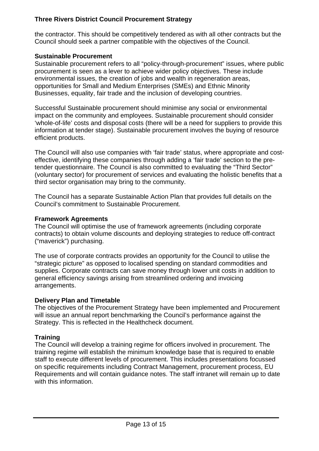the contractor. This should be competitively tendered as with all other contracts but the Council should seek a partner compatible with the objectives of the Council.

# **Sustainable Procurement**

Sustainable procurement refers to all "policy-through-procurement" issues, where public procurement is seen as a lever to achieve wider policy objectives. These include environmental issues, the creation of jobs and wealth in regeneration areas, opportunities for Small and Medium Enterprises (SMEs) and Ethnic Minority Businesses, equality, fair trade and the inclusion of developing countries.

Successful Sustainable procurement should minimise any social or environmental impact on the community and employees. Sustainable procurement should consider 'whole-of-life' costs and disposal costs (there will be a need for suppliers to provide this information at tender stage). Sustainable procurement involves the buying of resource efficient products.

The Council will also use companies with 'fair trade' status, where appropriate and costeffective, identifying these companies through adding a 'fair trade' section to the pretender questionnaire. The Council is also committed to evaluating the "Third Sector" (voluntary sector) for procurement of services and evaluating the holistic benefits that a third sector organisation may bring to the community.

The Council has a separate Sustainable Action Plan that provides full details on the Council's commitment to Sustainable Procurement.

#### **Framework Agreements**

The Council will optimise the use of framework agreements (including corporate contracts) to obtain volume discounts and deploying strategies to reduce off-contract ("maverick") purchasing.

The use of corporate contracts provides an opportunity for the Council to utilise the "strategic picture" as opposed to localised spending on standard commodities and supplies. Corporate contracts can save money through lower unit costs in addition to general efficiency savings arising from streamlined ordering and invoicing arrangements.

#### **Delivery Plan and Timetable**

The objectives of the Procurement Strategy have been implemented and Procurement will issue an annual report benchmarking the Council's performance against the Strategy. This is reflected in the Healthcheck document.

# **Training**

The Council will develop a training regime for officers involved in procurement. The training regime will establish the minimum knowledge base that is required to enable staff to execute different levels of procurement. This includes presentations focussed on specific requirements including Contract Management, procurement process, EU Requirements and will contain guidance notes. The staff intranet will remain up to date with this information.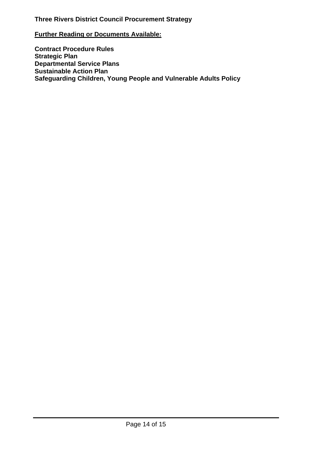#### **Further Reading or Documents Available:**

**Contract Procedure Rules Strategic Plan Departmental Service Plans Sustainable Action Plan Safeguarding Children, Young People and Vulnerable Adults Policy**